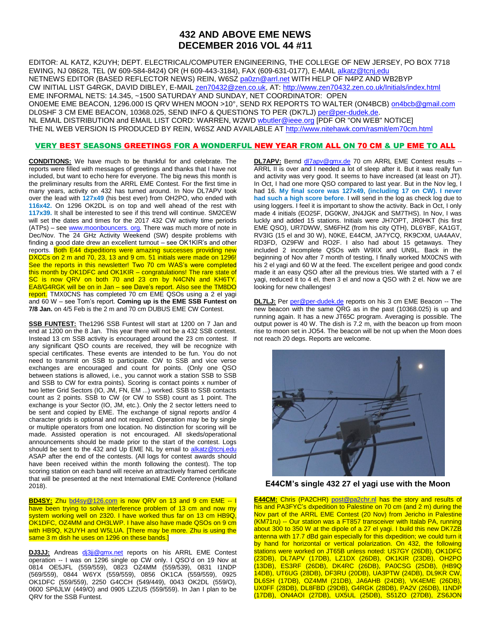## **432 AND ABOVE EME NEWS DECEMBER 2016 VOL 44 #11**

EDITOR: AL KATZ, K2UYH; DEPT. ELECTRICAL/COMPUTER ENGINEERING, THE COLLEGE OF NEW JERSEY, PO BOX 7718 EWING, NJ 08628, TEL (W 609-584-8424) OR (H 609-443-3184), FAX (609-631-0177), E-MAIL [alkatz@tcnj.edu](mailto:alkatz@tcnj.edu) NETNEWS EDITOR (BASED REFLECTOR NEWS) REIN, W6SZ [pa0zn@arrl.net](mailto:pa0zn@arrl.net) WITH HELP OF N4PZ AND WB2BYP CW INITIAL LIST G4RGK, DAVID DIBLEY, E-MAIL [zen70432@zen.co.uk,](mailto:zen70432@zen.co.uk) AT[: http://www.zen70432.zen.co.uk/Initials/index.html](http://www.zen70432.zen.co.uk/Initials/index.html) EME INFORMAL NETS: 14.345, ~1500 SATURDAY AND SUNDAY, NET COORDINATOR: OPEN ON0EME EME BEACON, 1296.000 IS QRV WHEN MOON >10°, SEND RX REPORTS TO WALTER (ON4BCB) [on4bcb@gmail.com](mailto:on4bcb@gmail.com)  DL0SHF 3 CM EME BEACON, 10368.025, SEND INFO & QUESTIONS TO PER (DK7LJ[\) per@per-dudek.de.](mailto:per@per-dudek.de) NL EMAIL DISTRIBUTION and EMAIL LIST CORD: WARREN, W2W[D wbutler@ieee.org](mailto:wbutler@ieee.org) [PDF OR "ON WEB" NOTICE] THE NL WEB VERSION IS PRODUCED BY REIN, W6SZ AND AVAILABLE A[T http://www.nitehawk.com/rasmit/em70cm.html](http://www.nitehawk.com/rasmit/em70cm.html)

## VERY BEST SEASONS GREETINGS FOR A WONDERFUL NEW YEAR FROM ALL ON 70 CM & UP EME TO ALL

**CONDITIONS:** We have much to be thankful for and celebrate. The reports were filled with messages of greetings and thanks that I have not included, but want to echo here for everyone. The big news this month is the preliminary results from the ARRL EME Contest. For the first time in many years, activity on 432 has turned around. In Nov DL7APV took over the lead with **127x49** (his best ever) from OH2PO, who ended with **116x42.** On 1296 OK2DL is on top and well ahead of the rest with **117x39.** It shall be interested to see if this trend will continue. SM2CEW will set the dates and times for the 2017 432 CW activity time periods (ATPs) – see www.moonbouncers. org. There was much more of note in Dec/Nov. The 24 GHz Activity Weekend (SW) despite problems with finding a good date drew an excellent turnout – see OK1KIR's and other reports. Both E44 dxpeditions were amazing successes providing new DXCCs on 2 m and 70, 23, 13 and 9 cm. 51 initials were made on 1296! See the reports in this newsletter! Two 70 cm WAS's were completed this month by OK1DFC and OK1KIR - congratulations! The rare state of SC is now QRV on both 70 and 23 cm by N4CNN and KH6TY. EA8/G4RGK will be on in Jan – see Dave's report. Also see the TM8DO report. TMX0CNS has completed 70 cm EME QSOs using a 2 el yagi and 60 W – see Tom's report. **Coming up is the EME SSB Funtest on 7/8 Jan.** on 4/5 Feb is the 2 m and 70 cm DUBUS EME CW Contest.

**SSB FUNTEST:** The1296 SSB Funtest will start at 1200 on 7 Jan and end at 1200 on the 8 Jan. This year there will not be a 432 SSB contest. Instead 13 cm SSB activity is encouraged around the 23 cm contest. If any significant QSO counts are received, they will be recognize with special certificates. These events are intended to be fun. You do not need to transmit on SSB to participate. CW to SSB and vice verse exchanges are encouraged and count for points. (Only one QSO between stations is allowed, i.e., you cannot work a station SSB to SSB and SSB to CW for extra points). Scoring is contact points x number of two letter Grid Sectors (IO, JM, FN, EM ...) worked. SSB to SSB contacts count as 2 points. SSB to CW (or CW to SSB) count as 1 point. The exchange is your Sector (IO, JM, etc.). Only the 2 sector letters need to be sent and copied by EME. The exchange of signal reports and/or 4 character grids is optional and not required. Operation may be by single or multiple operators from one location. No distinction for scoring will be made. Assisted operation is not encouraged. All skeds/operational announcements should be made prior to the start of the contest. Logs should be sent to the 432 and Up EME NL by email to [alkatz@tcnj.edu](mailto:alkatz@tcnj.edu) ASAP after the end of the contests. (All logs for contest awards should have been received within the month following the contest). The top scoring station on each band will receive an attractively framed certificate that will be presented at the next International EME Conference (Holland 2018).

**BD4SY:** Zhu [bd4sy@126.com](mailto:bd4sy@126.com) is now QRV on 13 and 9 cm EME -- I have been trying to solve interference problem of 13 cm and now my system working well on 2320. I have worked thus far on 13 cm HB9Q, OK1DFC, OZ4MM and OH3LWP. I have also have made QSOs on 9 cm with HB9Q, K2UYH and W5LUA. [There may be more. Zhu is using the same 3 m dish he uses on 1296 on these bands.]

**DJ3JJ:** Andreas di3ji@gmx.net reports on his ARRL EME Contest operation -- I was on 1296 single op CW only. I QSO'd on 19 Nov at 0814 OE5JFL (559/559), 0823 OZ4MM (559/539), 0831 I1NDP (569/559), 0844 W6YX (559/559), 0856 OK1CA (559/559), 0925 OK1DFC (559/559), 2250 G4CCH (549/449), 0043 OK2DL (559/O), 0600 SP6JLW (449/O) and 0905 LZ2US (559/559). In Jan I plan to be QRV for the SSB Funtest.

**DL7APV:** Bernd [dl7apv@gmx.de](mailto:dl7apv@gmx.de) 70 cm ARRL EME Contest results -- ARRL II is over and I needed a lot of sleep after it. But it was really fun and activity was very good. It seems to have increased (at least on JT). In Oct, I had one more QSO compared to last year. But in the Nov leg, I had 16. **My final score was 127x49, (including 17 on CW). I never had such a high score before**. I will send in the log as check log due to using loggers. I feel it is important to show the activity. Back in Oct, I only made 4 initials (EO25F, DG0KW, JN4JGK and SM7THS). In Nov, I was luckly and added 15 stations. Initials were JH7OPT, JR0HKT (his first EME QSO), UR7DWW, SM6FHZ (from his city QTH), DL6YBF, KA1GT, RV3IG (15 el and 30 W), N0KE, E44CM, JA7YCQ, RK9CXM, UA4AAV, RD3FD, OZ9FW and RO2F. I also had about 15 getaways. They included 2 incomplete QSOs with W9IIX and UN9L. Back in the beginning of Nov after 7 month of testing, I finally worked MX0CNS with his 2 el yagi and 60 W at the feed. The excellent perigee and good condx made it an easy QSO after all the previous tries. We started with a 7 el yagi, reduced it to 4 el, then 3 el and now a QSO with 2 el. Now we are looking for new challenges!

**DL7LJ:** Per [per@per-dudek.de](mailto:per@per-dudek.de) reports on his 3 cm EME Beacon -- The new beacon with the same QRG as in the past (10368.025) is up and running again. It has a new JT65C program. Averaging is possible. The output power is 40 W. The dish is 7.2 m, with the beacon up from moon rise to moon set in JO54. The beacon will be not up when the Moon does not reach 20 degs. Reports are welcome.



**E44CM's single 432 27 el yagi use with the Moon**

**E44CM:** Chris (PA2CHR) [post@pa2chr.nl](mailto:post@pa2chr.nl) has the story and results of his and PA3FYC's dxpedition to Palestine on 70 cm (and 2 m) during the Nov part of the ARRL EME Contest (20 Nov) from Jericho in Palestine (KM71ru) -- Our station was a FT857 transceiver with Italab PA, running about 300 to 350 W at the dipole of a 27 el yagi. I build this new DK7ZB antenna with 17.7 dBd gain especially for this dxpedition; we could turn it by hand for horizontal or vertical polarization. On 432, the following stations were worked on JT65B unless noted: US7GY (26DB), OK1DFC (23DB), DL7APV (17DB), LZ1DX (26DB), OK1KIR (23DB), OH2PO (13DB), ES3RF (26DB), DK4RC (26DB), PA0CSG (25DB), (HB9Q 14DB), UT6UG (28DB), DF3RU (20DB), UA3PTW (24DB), DL9KR CW, DL6SH (17DB), OZ4MM (21DB), JA6AHB (24DB), VK4EME (26DB), UX0FF (28DB), DL8FBD (29DB), G4RGK (28DB), PA2V (26DB), I1NDP (17DB), ON4AOI (27DB), UX5UL (25DB), S51ZO (27DB), ZS6JON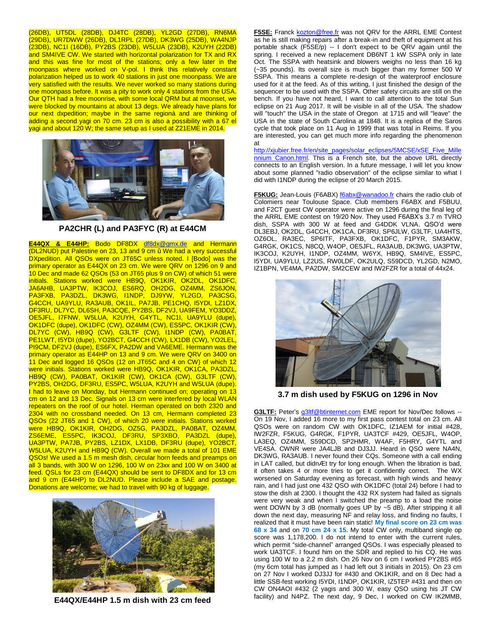(26DB), UT5DL (28DB), DJ4TC (28DB), YL2GD (27DB), RN6MA (29DB), UR7DWW (26DB), DL1RPL (27DB), DK3WG (25DB), WA4NJP (23DB), NC1I (16DB), PY2BS (23DB), W5LUA (23DB), K2UYH (22DB) and SM4IVE CW. We started with horizontal polarization for TX and RX and this was fine for most of the stations; only a few later in the moonpass where worked on V-pol. I think this relatively constant polarization helped us to work 40 stations in just one moonpass. We are very satisfied with the results. We never worked so many stations during one moonpass before. It was a pity to work only 4 stations from the USA. Our QTH had a free moonrise, with some local QRM but at moonset, we were blocked by mountains at about 13 degs. We already have plans for our next dxpedition; maybe in the same regionà and are thinking of adding a second yagi on 70 cm. 23 cm is also a possibility with a 67 el yagi and about 120 W; the same setup as I used at Z21EME in 2014.



**PA2CHR (L) and PA3FYC (R) at E44CM**

**E44QX & E44HP:** Bodo DF8DX [df8dx@gmx.de](mailto:df8dx@gmx.de) and Hermann (DL2NUD) put Palestine on 23, 13 and 9 cm û We had a very successful DXpedition. All QSOs were on JT65C unless noted. I [Bodo] was the primary operator as E44QX on 23 cm. We were QRV on 1296 on 9 and 10 Dec and made 62 QSOs (53 on JT65 plus 9 on CW) of which 51 were initials. Stations worked were HB9Q, OK1KIR, OK2DL, OK1DFC, JA6AHB, UA3PTW, IK3COJ, ES6RQ, OH2DG, OZ4MM, ZS6JON, PA3FXB, PA3DZL, DK3WG, I1NDP, DJ9YW, YL2GD, PA3CSG, G4CCH, UA9YLU, RA3AUB, OK1IL, PA7JB, PE1CHQ, I5YDI, LZ1DX, DF3RU, DL7YC, DL6SH, PA3CQE, PY2BS, DF2VJ, UA9FEM, YO3DDZ, OE5JFL, I7FNW, W5LUA, K2UYH, G4YTL, NC1I, UA9YLU (dupe), OK1DFC (dupe), OK1DFC (CW), OZ4MM (CW), ES5PC, OK1KIR (CW), DL7YC (CW), HB9Q (CW), G3LTF (CW), I1NDP (CW), PA0BAT, PE1LWT, I5YDI (dupe), YO2BCT, G4CCH (CW), LX1DB (CW), YO2LEL PI9CM, DF2VJ (dupe), ES6FX, PA2DW and VA6EME. Hermann was the primary operator as E44HP on 13 and 9 cm. We were QRV on 3400 on 11 Dec and logged 16 QSOs (12 on JT65C and 4 on CW) of which 12 were initials. Stations worked were HB9Q, OK1KIR, OK1CA, PA3DZL HB9Q (CW), PA0BAT, OK1KIR (CW), OK1CA (CW), G3LTF (CW), PY2BS, OH2DG, DF3RU, ES5PC, W5LUA, K2UYH and W5LUA (dupe). I had to leave on Monday, but Hermann continued on; operating on 13 cm on 12 and 13 Dec. Signals on 13 cm were interfered by local WLAN repeaters on the roof of our hotel. Herman operated on both 2320 and 2304 with no crossband needed. On 13 cm, Hermann completed 23 QSOs (22 JT65 and 1 CW), of which 20 were initials. Stations worked were HB9Q, OK1KIR, OH2DG, OZ5G, PA3DZL, PA0BAT, OZ4MM, ZS6EME, ES5PC, IK3COJ, DF3RU, SP3XBO, PA3DZL (dupe), UA3PTW, PA7JB, PY2BS, LZ1DX, LX1DB, DF3RU (dupe), YO2BCT, W5LUA, K2UYH and HB9Q (CW). Overall we made a total of 101 EME QSOs! We used a 1.5 m mesh dish, circular horn feeds and preamps on all 3 bands, with 300 W on 1296, 100 W on 23xx and 100 W on 3400 at feed. QSLs for 23 cm (E44QX) should be sent to DF8DX and for 13 cm and 9 cm (E44HP) to DL2NUD. Please include a SAE and postage. Donations are welcome; we had to travel with 90 kg of luggage.



**E44QX/E44HP 1.5 m dish with 23 cm feed**

**F5SE:** Franck [kozton@free.fr](mailto:kozton@free.fr) was not QRV for the ARRL EME Contest as he is still making repairs after a break-in and theft of equipment at his portable shack (F5SE/p) -- I don't expect to be QRV again until the spring. I received a new replacement DB6NT 1 kW SSPA only in late Oct. The SSPA with heatsink and blowers weighs no less than 16 kg (~35 pounds). Its overall size is much bigger than my former 500 W SSPA. This means a complete re-design of the waterproof enclosure used for it at the feed. As of this writing, I just finished the design of the sequencer to be used with the SSPA. Other safety circuits are still on the bench. If you have not heard, I want to call attention to the total Sun eclipse on 21 Aug 2017. It will be visible in all of the USA. The shadow will "touch" the USA in the state of Oregon at 1715 and will "leave" the USA in the state of South Carolina at 1848. It is a replica of the Saros cycle that took place on 11 Aug in 1999 that was total in Reims. If you are interested, you can get much more info regarding the phenomenon at

[http://xjubier.free.fr/en/site\\_pages/solar\\_eclipses/5MCSE/xSE\\_Five\\_Mille](http://xjubier.free.fr/en/site_pages/solar_eclipses/5MCSE/xSE_Five_Millennium_Canon.html) [nnium\\_Canon.html.](http://xjubier.free.fr/en/site_pages/solar_eclipses/5MCSE/xSE_Five_Millennium_Canon.html) This is a French site, but the above URL directly connects to an English version. In a future message, I will let you know about some planned "radio observation" of the eclipse similar to what I did with I1NDP during the eclipse of 20 March 2015.

**F5KUG:** Jean-Louis (F6ABX) foabx@wanadoo.fr chairs the radio club of Colomiers near Toulouse Space. Club members F6ABX and F5BUU, and F2CT guest CW operator were active on 1296 during the final leg of the ARRL EME contest on 19/20 Nov. They used F6ABX's 3.7 m TVRO dish, SSPA with 300 W at feed and G4DDK VLNA. QSO'd were DL3EBJ, OK2DL, G4CCH, OK1CA, DF3RU, SP6JLW, G3LTF, UA4HTS, OZ6OL, RA3EC, SP6ITF, PA3FXB, OK1DFC, F1PYR, SM3AKW, G4RGK, OK1CS, N8CQ, W4OP, OE5JFL, RA3AUB, DK3WG, UA3PTW, IK3COJ, K2UYH, I1NDP, OZ4MM, W6YX, HB9Q, SM4IVE, ES5PC, I5YDI, UA9YLU, LZ2US, RW0LDF, OK2ULQ, S59DCD, YL2GD, N2MO, IZ1BPN, VE4MA, PA2DW, SM2CEW and IW2FZR for a total of 44x24.



**3.7 m dish used by F5KUG on 1296 in Nov**

**G3LTF:** Peter's *g3ltf@btinternet.com* EME report for Nov/Dec follows --On 19 Nov, I added 16 more to my first pass contest total on 23 cm. All QSOs were on random CW with OK1DFC, IZ1AEM for initial #428, IW2FZR, F5KUG, G4RGK, F1PYR, UA3TCF #429, OE5JFL, W4OP, LA3EQ, OZ4MM, S59DCD, SP2HMR, W4AF, F5HRY, G4YTL and VE4SA. CWNR were JA4LJB and DJ3JJ. Heard in QSO were NA4N, DK3WG, RA3AUB. I never found their CQs. Someone with a call ending in LAT called, but didnÆt try for long enough. When the libration is bad, it often takes 4 or more tries to get it confidently correct. The WX worsened on Saturday evening as forecast, with high winds and heavy rain, and I had just one 432 QSO with OK1DFC (total 24) before I had to stow the dish at 2300. I thought the 432 RX system had failed as signals were very weak and when I switched the preamp to a load the noise went DOWN by 3 dB (normally goes UP by ~5 dB). After stripping it all down the next day, measuring NF and relay loss, and finding no faults, I realized that it must have been rain static! **My final score on 23 cm was 68 x 34** and on **70 cm 24 x 15.** My total CW only, multiband single op score was 1,178,200. I do not intend to enter with the current rules, which permit "side-channel" arranged QSOs. I was especially pleased to work UA3TCF. I found him on the SDR and replied to his CQ. He was using 100 W to a 2.2 m dish. On 26 Nov on 6 cm I worked PY2BS #65 (my 6cm total has jumped as I had left out 3 initials in 2015). On 23 cm on 27 Nov I worked DJ3JJ for #430 and OK1KIR, and on 8 Dec had a little SSB-fest working I5YDI, I1NDP, OK1KIR, IZ5TEP #431 and then on CW ON4AOI #432 (2 yagis and 300 W, easy QSO using his JT CW facility) and N4PZ. The next day, 9 Dec, I worked on CW IK2MMB,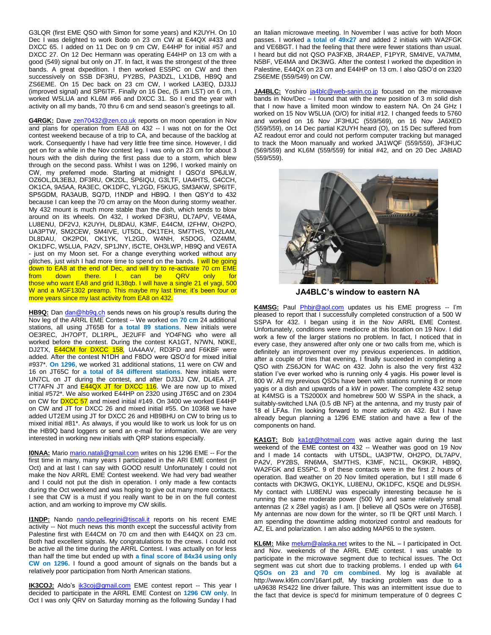G3LQR (first EME QSO with Simon for some years) and K2UYH. On 10 Dec I was delighted to work Bodo on 23 cm CW at E44QX #433 and DXCC 65. I added on 11 Dec on 9 cm CW, E44HP for initial #57 and DXCC 27. On 12 Dec Hermann was operating E44HP on 13 cm with a good (549) signal but only on JT. In fact, it was the strongest of the three bands. A great dxpedition. I then worked ES5PC on CW and then successively on SSB DF3RU, PY2BS, PA3DZL, LX1DB, HB9Q and ZS6EME. On 15 Dec back on 23 cm CW, I worked LA3EQ, DJ3JJ (improved signal) and SP6ITF. Finally on 16 Dec, (5 am LST) on 6 cm, I worked W5LUA and KL6M #66 and DXCC 31. So I end the year with activity on all my bands, 70 thru 6 cm and send season's greetings to all.

**G4RGK:** Dave [zen70432@zen.co.uk](mailto:zen70432@zen.co.uk) reports on moon operation in Nov and plans for operation from EA8 on 432 -- I was not on for the Oct contest weekend because of a trip to CA, and because of the backlog at work. Consequently I have had very little free time since. However, I did get on for a while in the Nov contest leg. I was only on 23 cm for about 3 hours with the dish during the first pass due to a storm, which blew through on the second pass. Whilst I was on 1296, I worked mainly on CW, my preferred mode. Starting at midnight I QSO'd SP6JLW, OZ6OL,DL3EBJ, DF3RU, OK2DL, SP6IQU, G3LTF, UA4HTS, G4CCH, OK1CA, 9A5AA, RA3EC, OK1DFC, YL2GD, F5KUG, SM3AKW, SP6ITF, SP5GDM, RA3AUB, SQ7D, I1NDP and HB9Q. I then QSY'd to 432 because I can keep the 70 cm array on the Moon during stormy weather. My 432 mount is much more stable than the dish, which tends to blow around on its wheels. On 432, I worked DF3RU, DL7APV, VE4MA, LU8ENU, DF2VJ, K2UYH, DL8DAU, K3MF, E44CM, I2FHW, OH2PO, UA3PTW, SM2CEW, SM4IVE, UT5DL, OK1TEH, SM7THS, YO2LAM, DL8DAU, OK2POI, OK1YK, YL2GD, W4NH, K5DOG, OZ4MM, OK1DFC, W5LUA, PA2V, SP1JNY, I5CTE, OH3LWP, HB9Q and VE6TA - just on my Moon set. For a change everything worked without any glitches, just wish I had more time to spend on the bands. I will be going down to EA8 at the end of Dec, and will try to re-activate 70 cm EME<br>from down there. I can be QRV only for from down there. I can be QRV only for those who want EA8 and grid IL38qb. I will have a single 21 el yagi, 500 W and a MGF1302 preamp. This maybe my last time; it's been four or more years since my last activity from EA8 on 432.

HB9Q: Dan [dan@hb9q.ch](mailto:dan@hb9q.ch) sends news on his group's results during the Nov leg of the ARRL EME Contest -- We worked **on 70 cm** 24 additional stations, all using JT65B for **a total 89 stations**. New initials were OE3REC, JH7OPT, DL1RPL, JE2UFF and YO4FNG who were all worked before the contest. During the contest KA1GT, N7WN, N0KE, DJ2TX, **E44CM for DXCC 158**, UA4AAV, RD3FD and F6KBF were added. After the contest N1DH and F8DO were QSO'd for mixed initial #937\*. **On 1296**, we worked 31 additional stations, 11 were on CW and 16 on JT65C for **a total of 84 different stations**. New initials were UN7CL on JT during the contest, and after DJ3JJ CW, DL4EA JT, CT7AFN JT and **E44QX JT for DXCC 116**. We are now up to mixed initial #572\*. We also worked E44HP on 2320 using JT65C and on 2304 on CW for **DXCC 57** and mixed initial #149. On 3400 we worked E44HP on CW and JT for DXCC 26 and mixed initial #55. On 10368 we have added UT2EM using JT for DXCC 26 and HB9BHU on CW to bring us to mixed initial #81\*. As always, if you would like to work us look for us on the HB9Q band loggers or send an e-mail for information. We are very interested in working new initials with QRP stations especially.

**I0NAA:** Mario [mario.natali@gmail.com](mailto:mario.natali@gmail.com) writes on his 1296 EME -- For the first time in many, many years I participated in the ARI EME contest (in Oct) and at last I can say with GOOD result! Unfortunately I could not make the Nov ARRL EME Contest weekend. We had very bad weather and I could not put the dish in operation. I only made a few contacts during the Oct weekend and was hoping to give out many more contacts. I see that CW is a must if you really want to be in on the full contest action, and am working to improve my CW skills.

**I1NDP:** Nando [nando.pellegrini@tiscali.it](mailto:nando.pellegrini@tiscali.it) reports on his recent EME activity -- Not much news this month except the successful activity from Palestine first with E44CM on 70 cm and then with E44QX on 23 cm. Both had excellent signals. My congratulations to the crews. I could not be active all the time during the ARRL Contest. I was actually on for less than half the time but ended up with **a final score of 84x34 using only CW on 1296.** I found a good amount of signals on the bands but a relatively poor participation from North American stations.

**IK3COJ:** Aldo's [ik3coj@gmail.com](mailto:ik3coj@gmail.com) EME contest report -- This year I decided to participate in the ARRL EME Contest on **1296 CW only**. In Oct I was only QRV on Saturday morning as the following Sunday I had an Italian microwave meeting. In November I was active for both Moon passes. I worked **a total of 49x27** and added 2 initials with WA2FGK and VE6BGT. I had the feeling that there were fewer stations than usual. I heard but did not QSO PA3FXB, JR4AEP, F1PYR, SM4IVE, VA7MM, N5BF, VE4MA and DK3WG. After the contest I worked the dxpedition in Palestine, E44QX on 23 cm and E44HP on 13 cm. I also QSO'd on 2320 ZS6EME (559/549) on CW.

**JA4BLC:** Yoshiro [ja4blc@web-sanin.co.jp](mailto:ja4blc@web-sanin.co.jp) focused on the microwave bands in Nov/Dec – I found that with the new position of 3 m solid dish that I now have a limited moon window to eastern NA. On 24 GHz I worked on 15 Nov W5LUA (O/O) for initial #12. I changed feeds to 5760 and worked on 16 Nov JF3HUC (559/569), on 16 Nov JA6XED (559/559), on 14 Dec partial K2UYH heard (O), on 15 Dec suffered from AZ readout error and could not perform computer tracking but managed to track the Moon manually and worked JA1WQF (559/559), JF3HUC (569/559) and KL6M (559/559) for initial #42, and on 20 Dec JA8IAD (559/559).



**JA4BLC's window to eastern NA**

**K4MSG:** Paul [Phbjr@aol.com](mailto:Phbjr@aol.com) updates us his EME progress -- I'm pleased to report that I successfully completed construction of a 500 W SSPA for 432. I began using it in the Nov ARRL EME Contest. Unfortunately, conditions were mediocre at this location on 19 Nov. I did work a few of the larger stations no problem. In fact, I noticed that in every case, they answered after only one or two calls from me, which is definitely an improvement over my previous experiences. In addition, after a couple of tries that evening, I finally succeeded in completing a QSO with ZS6JON for WAC on 432. John is also the very first 432 station I've ever worked who is running only 4 yagis. His power level is 800 W. All my previous QSOs have been with stations running 8 or more yagis or a dish and upwards of a kW in power. The complete 432 setup at K4MSG is a TS2000X and homebrew 500 W SSPA in the shack, a suitably-switched LNA (0.5 dB NF) at the antenna, and my trusty pair of 18 el LFAs. I'm looking forward to more activity on 432. But I have already begun planning a 1296 EME station and have a few of the components on hand.

KA1GT: Bob [ka1gt@hotmail.com](mailto:ka1gt@hotmail.com) was active again during the last weekend of the EME contest on 432 -- Weather was good on 19 Nov and I made 14 contacts with UT5DL, UA3PTW, OH2PO, DL7APV, PA2V, PY2BS, RN6MA, SM7THS, K3MF, NC1L, OK9KIR, HB9Q, WA2FGK and ES5PC. 9 of these contacts were in the first 2 hours of operation. Bad weather on 20 Nov limited operation, but I still made 6 contacts with DK3WG, OK1YK, LU8ENU, OK1DFC, K5QE and DL9SH. My contact with LU8ENU was especially interesting because he is running the same moderate power (500 W) and same relatively small antennas (2 x 28el yagis) as I am. [I believe all QSOs were on JT65B]. My antennas are now down for the winter, so I'll be QRT until March. I am spending the downtime adding motorized control and readouts for AZ, EL and polarization. I am also adding MAP65 to the system.

KL6M: Mike [melum@alaska.net](mailto:melum@alaska.net) writes to the NL - I participated in Oct. and Nov. weekends of the ARRL EME contest. I was unable to participate in the microwave segment due to techical issues. The Oct segment was cut short due to tracking problems. I ended up with **64 QSOs on 23 and 70 cm combined**. My log is available at http://www.kl6m.com/16arrl.pdf, My tracking problem was due to a uA9638 RS422 line driver failure. This was an intermittent issue due to the fact that device is spec'd for minimum temperature of 0 degrees C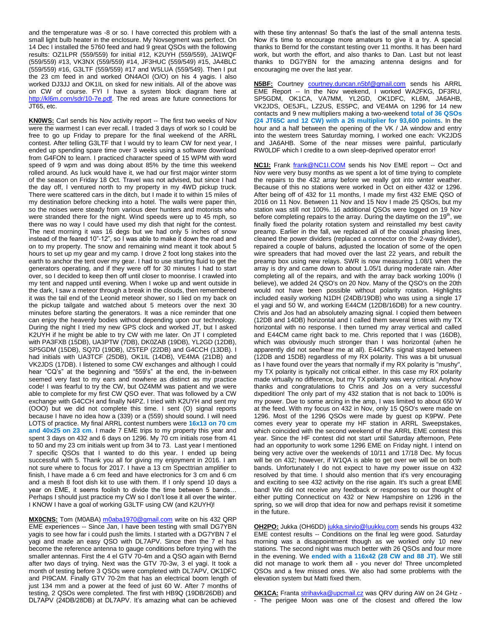and the temperature was -8 or so. I have corrected this problem with a small light bulb heater in the enclosure. My Novsegment was perfect. On 14 Dec I installed the 5760 feed and had 9 great QSOs with the following results: OZ1LPR (559/559) for initial #12, K2UYH (559/559), JA1WQF (559/559) #13, VK3NX (559/559) #14, JF3HUC (559/549) #15, JA4BLC (559/559) #16, G3LTF (559/559) #17 and W5LUA (559/549). Then I put the 23 cm feed in and worked ON4AOI (O/O) on his 4 yagis. I also worked DJ3JJ and OK1IL on sked for new initials. All of the above was on CW of course. FYI I have a system block diagram here at [http://kl6m.com/sdr/10-7e.pdf.](http://kl6m.com/sdr/10-7e.pdf) The red areas are future connections for JT65, etc.

**KN0WS:** Carl sends his Nov activity report -- The first two weeks of Nov were the warmest I can ever recall. I traded 3 days of work so I could be free to go up Friday to prepare for the final weekend of the ARRL contest. After telling G3LTF that I would try to learn CW for next year, I ended up spending spare time over 3 weeks using a software download from G4FON to learn. I practiced character speed of 15 WPM with word speed of 9 wpm and was doing about 85% by the time this weekend rolled around. As luck would have it, we had our first major winter storm of the season on Friday 18 Oct. Travel was not advised, but since I had the day off, I ventured north to my property in my 4WD pickup truck. There were scattered cars in the ditch, but I made it to within 15 miles of my destination before checking into a hotel. The walls were paper thin, so the noises were steady from various deer hunters and motorists who were stranded there for the night. Wind speeds were up to 45 mph, so there was no way I could have used my dish that night for the contest. The next morning it was 16 degs but we had only 5 inches of snow instead of the feared 10"-12", so I was able to make it down the road and on to my property. The snow and remaining wind meant it took about 5 hours to set up my gear and my camp. I drove 2 foot long stakes into the earth to anchor the tent over my gear. I had to use starting fluid to get the generators operating, and if they were off for 30 minutes I had to start over, so I decided to keep then off until closer to moonrise. I crawled into my tent and napped until evening. When I woke up and went outside in the dark, I saw a meteor through a break in the clouds, then remembered it was the tail end of the Leonid meteor shower, so I lied on my back on the pickup tailgate and watched about 5 meteors over the next 30 minutes before starting the generators. It was a nice reminder that one can enjoy the heavenly bodies without depending upon our technology. During the night I tried my new GPS clock and worked JT, but I asked K2UYH if he might be able to try CW with me later. On JT I completed with PA3FXB (15DB), UA3PTW (7DB), DK0ZAB (19DB), YL2GD (12DB), SP5GDM (15DB), SQ7D (19DB), IZ5TEP (22DB) and G4CCH (13DB). I had initials with UA3TCF (25DB), OK1IL (14DB), VE4MA (21DB) and VK2JDS (17DB). I listened to some CW exchanges and although I could hear "CQ's" at the beginning and "559's" at the end, the in-between seemed very fast to my ears and nowhere as distinct as my practice code! I was fearful to try the CW, but OZ4MM was patient and we were able to complete for my first CW QSO ever. That was followed by a CW exchange with G4CCH and finally N4PZ. I tried with K2UYH and sent my (OOO) but we did not complete this time. I sent (O) signal reports because I have no idea how a (339) or a (559) should sound. I will need LOTS of practice. My final ARRL contest numbers were **16x13 on 70 cm and 40x25 on 23 cm**. I made 7 EME trips to my property this year and spent 3 days on 432 and 6 days on 1296. My 70 cm initials rose from 41 to 50 and my 23 cm initials went up from 34 to 73. Last year I mentioned 7 specific QSOs that I wanted to do this year. I ended up being successful with 5. Thank you all for giving my enjoyment in 2016. I am not sure where to focus for 2017. I have a 13 cm Specttrian amplifier to finish, I have made a 6 cm feed and have electronics for 3 cm and 6 cm and a mesh 8 foot dish kit to use with them. If I only spend 10 days a year on EME, it seems foolish to divide the time between 5 bands… Perhaps I should just practice my CW so I don't lose it all over the winter. I KNOW I have a goal of working G3LTF using CW (and K2UYH)!

**MX0CNS:** Tom (M0ABA) [m0aba1970@gmail.com](mailto:m0aba1970@gmail.com) write on his 432 QRP EME experiences -- Since Jan, I have been testing with small DG7YBN yagis to see how far i could push the limits. I started with a DG7YBN 7 el yagi and made an easy QSO with DL7APV. Since then the 7 el has become the reference antenna to gauge conditions before trying with the smaller antennas. First the 4 el GTV 70-4m and a QSO again with Bernd after two days of trying. Next was the GTV 70-3w, 3 el yagi. It took a month of testing before 3 QSOs were completed with DL7APV, OK1DFC and PI9CAM. Finally GTV 70-2m that has an electrical boom length of just 134 mm and a power at the feed of just 60 W. After 7 months of testing, 2 QSOs were completed. The first with HB9Q (19DB/26DB) and DL7APV (24DB/28DB) at DL7APV. It's amazing what can be achieved

with these tiny antennas! So that's the last of the small antenna tests. Now it's time to encourage more amateurs to give it a try. A special thanks to Bernd for the constant testing over 11 months. It has been hard work, but worth the effort, and also thanks to Dan. Last but not least thanks to DG7YBN for the amazing antenna designs and for encouraging me over the last year.

**N5BF:** Courtney [courtney.duncan.n5bf@gmail.com](mailto:courtney.duncan.n5bf@gmail.com) sends his ARRL EME Report -- In the Nov weekend, I worked WA2FKG, DF3RU, SP5GDM, OK1CA, VA7MM, YL2GD, OK1DFC, KL6M, JA6AHB, VK2JDS, OE5JFL, LZ2US, ES5PC, and VE4MA on 1296 for 14 new contacts and 9 new multipliers making a two-weekend **total of 36 QSOs (24 JT65C and 12 CW) with a 26 multiplier for 93,600 points.** In the hour and a half between the opening of the VK / JA window and entry into the western trees Saturday morning, I worked one each: VK2JDS and JA6AHB. Some of the near misses were painful, particularly RW0LDF which I credite to a own sleep-deprived operator error!

**NC1I:** Frank [frank@NC1I.COM](mailto:frank@NC1I.COM) sends his Nov EME report -- Oct and Nov were very busy months as we spent a lot of time trying to complete the repairs to the 432 array before we really got into winter weather. Because of this no stations were worked in Oct on either 432 or 1296. After being off of 432 for 11 months, I made my first 432 EME QSO of 2016 on 11 Nov. Between 11 Nov and 15 Nov I made 25 QSOs, but my station was still not 100%. 16 additional QSOs were logged on 19 Nov before completing repairs to the array. During the daytime on the  $19<sup>th</sup>$ , we finally fixed the polarity rotation system and reinstalled my best cavity preamp. Earlier in the fall, we replaced all of the coaxial phasing lines, cleaned the power dividers (replaced a connector on the 2-way divider), repaired a couple of baluns, adjusted the location of some of the open wire spreaders that had moved over the last 22 years, and rebuilt the preamp box using new relays. SWR is now measuring 1.08/1 when the array is dry and came down to about 1.05/1 during moderate rain. After completing all of the repairs, and with the array back working 100% (I believe), we added 24 QSO's on 20 Nov. Many of the QSO's on the 20th would not have been possible without polarity rotation. Highlights included easily working N1DH (24DB/19DB) who was using a single 17 el yagi and 50 W, and working E44CM (12DB/16DB) for a new country. Chris and Jos had an absolutely amazing signal. I copied them between (12DB and 14DB) horizontal and I called them several times with my TX horizontal with no response. I then turned my array vertical and called and E44CM came right back to me. Chris reported that I was (16DB), which was obviously much stronger than I was horizontal (when he apparently did not see/hear me at all). E44CM's signal stayed between (12DB and 15DB) regardless of my RX polarity. This was a bit unusual as I have found over the years that normally if my RX polarity is "mushy", my TX polarity is typically not critical either. In this case my RX polarity made virtually no difference, but my TX polarity was very critical. Anyhow thanks and congratulations to Chris and Jos on a very successful dxpedition! The only part of my 432 station that is not back to 100% is my power. Due to some arcing in the amp, I was limited to about 650 W at the feed. With my focus on 432 in Nov, only 15 QSO's were made on 1296. Most of the 1296 QSOs were made by guest op K9PW. Pete comes every year to operate my HF station in ARRL Sweepstakes, which coincided with the second weekend of the ARRL EME contest this year. Since the HF contest did not start until Saturday afternoon, Pete had an opportunity to work some 1296 EME on Friday night. I intend on being very active over the weekends of 10/11 and 17/18 Dec. My focus will be on 432; however, if W1QA is able to get over we will be on both bands. Unfortunately I do not expect to have my power issue on 432 resolved by that time. I should also mention that it's very encouraging and exciting to see 432 activity on the rise again. It's such a great EME band! We did not receive any feedback or responses to our thought of either putting Connecticut on 432 or New Hampshire on 1296 in the spring, so we will drop that idea for now and perhaps revisit it sometime in the future.

**OH2PO:** Jukka (OH6DD) [jukka.sirvio@luukku.com](mailto:jukka.sirvio@luukku.com) sends his groups 432 EME contest results -- Conditions on the final leg were good. Saturday morning was a disappointment though as we worked only 10 new stations. The second night was much better with 26 QSOs and four more in the evening. We **ended with a 116x42 (28 CW and 88 JT)**. We still did not manage to work them all - you never do! Three uncompleted QSOs and a few missed ones. We also had some problems with the elevation system but Matti fixed them.

**OK1CA:** Frant[a strihavka@upcmail.cz](mailto:strihavka@upcmail.cz) was QRV during AW on 24 GHz -- The perigee Moon was one of the closest and offered the low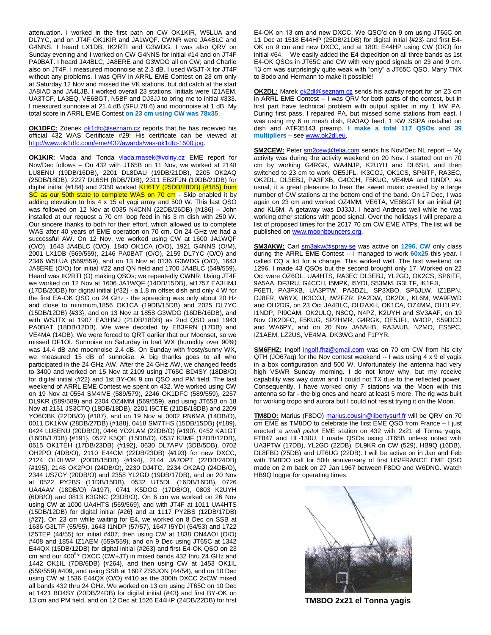attenuation. I worked in the first path on CW OK1KIR, W5LUA and DL7YC, and on JT4F OK1KIR and JA1WQF. CWNR were JA4BLC and G4NNS. I heard LX1DB, IK2RTI and G3WDG. I was also QRV on Sunday evening and I worked on CW G4NNS for initial #14 and on JT4F PA0BAT. I heard JA4BLC, JA8ERE and G3WDG all on CW; and Charlie also on JT4F. I measured moonnoise at 2.3 dB. I used WSJT-X for JT4F without any problems. I was QRV in ARRL EME Contest on 23 cm only at Saturday 12 Nov and missed the VK stations, but did catch at the start JA8IAD and JA4LJB. I worked overall 23 stations. Initials were IZ1AEM, UA3TCF, LA3EQ, VE6BGT, N5BF and DJ3JJ to bring me to initial #333. I measured sunnoise at 21.4 dB (SFU 78.6) and moonnoise at 1 dB. My total score in ARRL EME Contest **on 23 cm using CW was 78x35**.

**OK1DFC:** Zdenek [ok1dfc@seznam.cz](mailto:ok1dfc@seznam.cz) reports that he has received his official 432 WAS Certificate #29! His certificate can be viewed at [http://www.ok1dfc.com/eme/432/awards/was-ok1dfc-1500.jpg.](http://www.ok1dfc.com/eme/432/awards/was-ok1dfc-1500.jpg)

**OK1KIR:** Vlada and Tonda [vlada.masek@volny.cz](mailto:vlada.masek@volny.cz) EME report for Nov/Dec follows – On 432 with JT65B on 11 Nov, we worked at 2148 LU8ENU (19DB/16DB), 2201 DL8DAU (19DB/21DB), 2205 OK2AQ (25DB/18DB), 2227 DL6SH (6DB/7DB), 2311 EB2FJN (19DB/21DB) for digital initial  ${#184}$  and 2350 worked  $KH6TY$  (25DB/28DB)  ${#185}$  from SC as our 50th state to complete WAS on 70 cm - Skip enabled it by adding elevation to his 4 x 15 el yagi array and 500 W. This last QSO was followed on 12 Nov at 0035 N4CNN (22DB/26DB) {#186} – John installed at our request a 70 cm loop feed in his 3 m dish with 250 W. Our sincere thanks to both for their effort, which allowed us to complete WAS after 40 years of EME operation on 70 cm. On 24 GHz we had a successful AW. On 12 Nov, we worked using CW at 1600 JA1WQF (O/O), 1643 JA4BLC (O/O), 1840 OK1CA (O/O), 1921 G4NNS (O/M), 2001 LX1DB (569/559), 2146 PA0BAT (O/O), 2159 DL7YC (O/O) and 2346 W5LUA (569/559), and on 13 Nov at 0136 G3WDG (O/O), 1643 JA8ERE (O/O) for initial #22 and QN field and 1700 JA4BLC (549/559). Heard was IK2RTI (O) making QSOs; we repeatedly CWNR. Using JT4F we worked on 12 Nov at 1606 JA1WQF (14DB/15DB), at1757 EA3HMJ (17DB/20DB) for digital initial {#32} - a 1.8 m offset dish and only 4 W for the first EA-OK QSO on 24 GHz - the spreading was only about 20 Hz and close to minimum,1856 OK1CA (19DB/15DB) and 2025 DL7YC (15DB/12DB) {#33}, and on 13 Nov at 1858 G3WDG (16DB/16DB), and with WSJTX at 1907 EA3HMJ (21DB/18DB) as 2nd QSO and 1943 PA0BAT (18DB/12DB). We were decoded by EB3FRN (17DB) and VE4MA (14DB). We were forced to QRT earlier that our Moonset, so we missed DF1OI. Sunnoise on Saturday in bad WX (humidity over 90%) was 14.4 dB and moonnoise 2.4 dB. On Sunday with frosty/sunny WX, we measured 15 dB of sunnoise. A big thanks goes to all who participated in the 24 GHz AW. After the 24 GHz AW, we changed feeds to 3400 and worked on 15 Nov at 2109 using JT65C BD4SY (18DB/O) for digital initial {#22} and 1st BY-OK 9 cm QSO and PM field. The last weekend of ARRL EME Contest we spent on 432. We worked using CW on 19 Nov at 0554 SM4IVE (589/579), 2246 OK1DFC (589/559), 2257 DL9KR (589/589) and 2304 OZ4MM (569/559), and using JT65B on 18 Nov at 2151 JS3CTQ (18DB/18DB), 2201 I5CTE (21DB/18DB) and 2209 YO6OBK (22DB/O) {#187}, and on 19 Nov at 0002 RN6MA (14DB/O), 0011 DK1KW (28DB/27DB) {#188}, 0418 SM7THS (15DB/15DB) {#189}, 0424 LU8ENU (20DB/O), 0446 YO2LAM (22DB/O) {#190}, 0452 KA1GT (16DB/17DB) {#191}, 0527 K5QE (15DB/O), 0537 K3MF (12DB/12DB), 0615 OK1TEH (17DB/23DB) {#192}, 0630 DL7APV (3DB/5DB), 0702 OH2PO (4DB/O), 2110 E44CM (22DB/23DB) {#193} for new DXCC, 2124 OH3LWP (20DB/15DB) {#194}, 2144 JA7OPT (22DB/24DB) {#195}, 2148 OK2POI (24DB/O), 2230 DJ4TC, 2234 OK2AQ (24DB/O), 2344 US7GY (20DB/O) and 2358 YL2GD (19DB/17DB), and on 20 Nov at 0522 PY2BS (11DB/15DB), 0532 UT5DL (16DB/16DB), 0726 UA4AAV (18DB/O) {#197}, 0741 K5DOG (17DB/O), 0803 K2UYH (6DB/O) and 0813 K3GNC (23DB/O). On 6 cm we worked on 26 Nov using CW at 1000 UA4HTS (569/569), and with JT4F at 1011 UA4HTS (15DB/12DB) for digital initial {#26} and at 1117 PY2BS (12DB/17DB) {#27}. On 23 cm while waiting for E4, we worked on 8 Dec on SSB at 1636 G3LTF (55/55), 1643 I1NDP (57/57), 1647 I5YDI (54/53) and 1722 IZ5TEP (44/55) for initial #407, then using CW at 1838 ON4AOI (O/O) #408 and 1854 IZ1AEM (559/559), and on 9 Dec using JT65C at 1342 E44QX (15DB/12DB) for digital initial {#263} and first E4-OK QSO on 23 cm and our 400<sup>th</sup>\* DXCC (CW+JT) in mixed bands 432 thru 24 GHz and 1442 OK1IL (7DB/6DB) {#264}, and then using CW at 1453 OK1IL (559/559) #409, and using SSB at 1607 ZS6JON (44/54), and on 10 Dec using CW at 1536 E44QX (O/O) #410 as the 300th DXCC 2xCW mixed all bands 432 thru 24 GHz. We worked on 13 cm using JT65C on 10 Dec at 1421 BD4SY (20DB/24DB) for digital initial {#43} and first BY-OK on 13 cm and PM field, and on 12 Dec at 1526 E44HP (24DB/22DB) for first E4-OK on 13 cm and new DXCC. We QSO'd on 9 cm using JT65C on 11 Dec at 1518 E44HP (25DB/21DB) for digital initial {#23} and first E4- OK on 9 cm and new DXCC, and at 1801 E44HP using CW (O/O) for initial #64. We easily added the E4 dxpedition on all three bands as 1st E4-OK QSOs in JT65C and CW with very good signals on 23 and 9 cm. 13 cm was surprisingly quite weak with "only" a JT65C QSO. Many TNX to Bodo and Hermann to make it possible!

**OK2DL:** Marek [ok2dl@seznam.cz](mailto:ok2dl@seznam.cz) sends his activity report for on 23 cm in ARRL EME Contest -- I was QRV for both parts of the contest, but in first part have technical problem with output spliter in my 1 kW PA. During first pass, I repaired PA, but missed some stations from east. I was using my 6 m mesh dish, RA3AQ feed, 1 KW SSPA installed on dish and ATF35143 preamp. **I make a total 117 QSOs and 39 multipliers** – se[e www.ok2dl.eu.](http://www.ok2dl.eu/)

**SM2CEW:** Peter  $\frac{\text{sm2cew@telia.com}}{\text{selia.com}}$  sends his Nov/Dec NL report -- My activity was during the activity weekend on 20 Nov. I started out on 70 cm by working G4RGK, WA4NJP, K2UYH and DL6SH, and then switched to 23 cm to work OE5JFL, IK3COJ, OK1CS, SP6ITF, RA3EC, OK2DL, DL3EBJ, PA3FXB, G4CCH, F5KUG, VE4MA and I1NDP. As usual, it a great pleasure to hear the sweet music created by a large number of CW stations at the bottom end of the band. On 17 Dec, I was again on 23 cm and worked OZ4MM, VE6TA, VE6BGT for an initial (#) and KL6M. A getaway was DJ3JJ. I heard Andreas well while he was working other stations with good signal. Over the holidays I will prepare a list of proposed times for the 2017 70 cm CW EME ATPs. The list will be published o[n www.moonbouncers.org.](http://www.moonbouncers.org/)

**SM3AKW:** Carl [sm3akw@spray.se](mailto:sm3akw@spray.se) was active on **1296, CW** only class during the ARRL EME Contest -- I managed to work **60x25** this year. I called CQ a lot for a change. This worked well. The first weekend on 1296, I made 43 QSOs but the second brought only 17. Worked on 22 Oct were OZ6OL, UA4HTS, RA3EC DL3EBJ, YL2GD, OK2CS, SP6ITF, 9A5AA, DF3RU, G4CCH, I5MPK, I5YDI, S53MM, G3LTF, IK1FJI, F6ETI, PA3FXB, UA3PTW, PA3DZL, SP3XBO, SP6JLW, IZ1BPN, DJ8FR, W6YX, IK3COJ, IW2FZR, PA2DW, OK2DL, KL6M, WA9FWD and OH2DG, on 23 Oct JA4BLC, OH2AXH, OK1CA, OZ4MM, OH1LPY, I1NDP, PI9CAM, OK2ULQ, N8CQ, N4PZ, K2UYH and SV3AAF, on 19 Nov OK2DFC, F5KUG, SP2HMR, G4RGK, OE5JFL, W4OP, S59DCD and WA6PY, and on 20 Nov JA6AHB, RA3AUB, N2MO, ES5PC, IZ1AEM, LZ2US, VE4MA, DK3WG and F1PYR.

**SM6FHZ:** Ingolf [ingolf.fhz@gmail.com](mailto:ingolf.fhz@gmail.com) was on 70 cm CW from his city QTH (JO67aq) for the Nov contest weekend -- I was using 4 x 9 el yagis in a box configuration and 500 W. Unfortunately the antenna had very high VSWR Sunday morning. I do not know why, but my receive capability was way down and I could not TX due to the reflected power. Consequently, I have worked only 7 stations via the Moon with this antenna so far - the big ones and heard at least 5 more. The rig was built for working tropo and aurora but I could not resist trying it on the Moon.

**TM8DO:** Marius (F8DO) [marius.cousin@libertysurf.fr](mailto:marius.cousin@libertysurf.fr) will be QRV on 70 cm EME as TM8DO to celebrate the first EME QSO from France – I just erected a *small pistol* EME station on 432 with 2x21 el Tonna yagis, FT847 and HL-130U. I made QSOs using JT65B unless noted with UA3PTW (17DB), YL2GD (22DB), DL9KR on CW (529), HB9Q (16DB), DL8FBD (25DB) and UT6UG (22DB). I will be active on in Jan and Feb with TM8DO call for 50th anniversary of first US/FRANCE EME QSO made on 2 m back on 27 Jan 1967 between F8DO and W6DNG. Watch HB9Q logger for operating times.



**TM8DO 2x21 el Tonna yagis**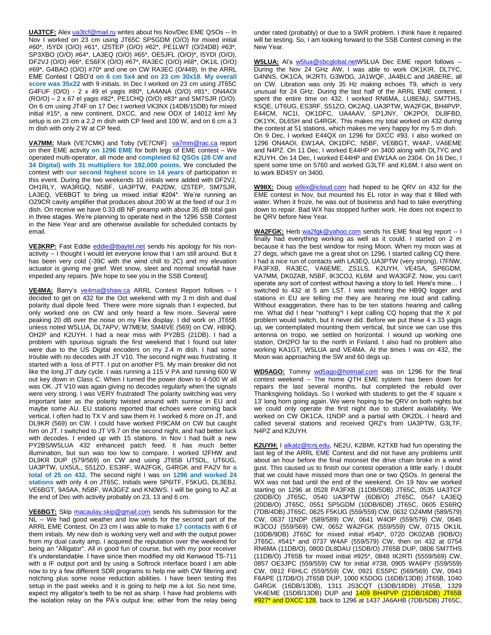**UA3TCF:** Ale[x ua3tcf@mail.ru](mailto:ua3tcf@mail.ru) writes about his Nov/Dec EME QSOs -- In Nov I worked on 23 cm using JT65C SP5GDM (O/O) for mixed initial #60\*, I5YDI (O/O) #61\*, IZ5TEP (O/O) #62\*, PE1LWT (O/24DB) #63\*, SP3XBO (O/O) #64\*, LA3EQ (O/O) #65\*, OE5JFL (O/O)\*, I5YDI (O/O), DF2VJ (O/O) #66\*, ES6FX (O/O) #67\*, RA3EC (O/O) #68\*, OK1IL (O/O) #69\*, G4BAO (O/O) #70\* and one on CW RA3EC (O/449). In the ARRL EME Contest I QSO'd **on 6 cm 5x4** and **on 23 cm 30x18**. **My overall score was 35x22** with 9 initials. In Dec I worked on 23 cm using JT65C G4FUF (O/O) - 2 x 49 el yagis #80\*, LA4ANA (O/O) #81\*, ON4AOI (RO/O) – 2 x 67 el yagis #82\*, PE1CHQ (O/O) #83\* and SM7SJR (O/O). On 6 cm using JT4F on 17 Dec I worked VK3NX (14DB/15DB) for mixed initial #15\*, a new continent, DXCC, and new ODX of 14012 km! My setup is on 23 cm a 2.2 m dish with CP feed and 100 W, and on 6 cm a 3 m dish with only 2 W at CP feed.

VA7MM: Mark (VE7CMK) and Toby (VE7CNF) [va7mm@rac.ca](mailto:va7mm@rac.ca) report on their EME activity **on 1296 EME** for both legs of EME contest – We operated multi-operator, all mode and **completed 62 QSOs (28 CW and 34 Digital) with 31 multipliers for 192,000 points.** We concluded the contest with **our second highest score in 14 years** of participation in this event. During the two weekends 10 initials were added with DF2VJ, OH1RLY, WA3RGQ, N5BF, UA3PTW, PA2DW, IZ5TEP, SM7SJR, LA3EQ, VE6BGT to bring us mixed initial #204\*. We're running an OZ9CR cavity amplifier that produces about 200 W at the feed of our 3 m dish. On receive we have 0.33 dB NF preamp with about 35 dB total gain in three stages. We're planning to operate next in the 1296 SSB Contest in the New Year and are otherwise available for scheduled contacts by email.

**VE3KRP:** Fast Eddie [eddie@tbaytel.net](mailto:eddie@tbaytel.net) sends his apology for his nonactivity -- I thought I would let everyone know that I am still around. But it has been very cold (-39C with the wind chill to 2C) and my elevation actuator is giving me grief. Wet snow, sleet and normal snowfall have impeded any repairs. [We hope to see you in the SSB Contest].

**VE4MA:** Barry's [ve4ma@shaw.ca](mailto:ve4ma@shaw.ca) ARRL Contest Report follows – I decided to get on 432 for the Oct weekend with my 3 m dish and dual polarity dual dipole feed. There were more signals than I expected, but only worked one on CW and only heard a few more. Several were peaking 20 dB over the noise on my Flex display. I did work on JT65B unless noted W5LUA, DL7APV, W7MEM, SM4IVE (569) on CW, HB9Q, OH2P and K2UYH. I had a near miss with PY2BS (21DB). I had a problem with spurious signals the first weekend that I found out later were due to the US Digital encoders on my 2.4 m dish. I had some trouble with no decodes with JT V10. The second night was frustrating. It started with a loss of PTT. I put on another PS. My main breaker did not like the long JT duty cycle. I was running a 115 V PA and running 600 W out key down in Class C. When I turned the power down to 4-500 W all was OK. JT V10 was again giving no decodes regularly when the signals were very strong. I was VERY frustrated! The polarity switching was very important later as the polarity twisted around with sunrise in EU and maybe some AU. EU stations reported that echoes were coming back vertical. I often had to TX V and saw them H. I worked 6 more on JT, and DL9KR (569) on CW. I could have worked PI9CAM on CW but caught him on JT. I switched to JT V9.7 on the second night, and had better luck with decodes. I ended up with 15 stations. In Nov I had built a new PY2BS/W5LUA 432 enhanced patch feed. It has much better illumination, but sun was too low to compare. I worked I2FHW and DL9KR DUP (579/569) on CW and using JT65B UT5DL, UT6UG, UA3PTW, UX5UL, S51ZO, ES3RF, WA2FGK, G4RGK and PA2V for **a total of 25 on 432.** The second night I was **on 1296 and worked 24 stations** with only 4 on JT65C. Initials were SP6ITF, F5KUG, DL3EBJ, VE6BGT, 9A5AA, N5BF, WA3GFZ and KN0WS. I will be going to AZ at the end of Dec with activity probably on 23, 13 and 6 cm.

**VE6BGT:** Skip [macaulay.skip@gmail.com](mailto:macaulay.skip@gmail.com) sends his submission for the NL -- We had good weather and low winds for the second part of the ARRL EME Contest. On 23 cm I was able to make **17 contacts** with 6 of them initials. My new dish is working very well and with the output power from my dual cavity amp, I acquired the reputation over the weekend for being an "Alligator". All in good fun of course, but with my poor receiver it's understandable. I have since then modified my old Kenwood TS-711 with a IF output port and by using a Softrock interface board I am able now to try a few different SDR programs to help me with CW filtering and notching plus some noise reduction abilities. I have been testing this setup in the past weeks and it is going to help me a lot. So next time, expect my alligator's teeth to be not as sharp. I have had problems with the isolation relay on the PA's output line; either from the relay being

under rated (probably) or due to a SWR problem. I think have it repaired will be testing. So, I am looking forward to the SSB Contest coming in the New Year.

**W5LUA:** Al's [w5lua@sbcglobal.netW](mailto:w5lua@sbcglobal.net)5LUA Dec EME report follows -- During the Nov 24 GHz AW, I was able to work OK1KIR, DL7YC, G4NNS, OK1CA, IK2RTI, G3WDG, JA1WQF, JA4BLC and JA8ERE, all on CW. Libration was only 35 Hz making echoes T9, which is very unusual for 24 GHz. During the last half of the ARRL EME contest, I spent the entire time on 432. I worked RN6MA, LU8ENU, SM7THS, K5QE, UT6UG, ES3RF, S51ZO, OK2AQ, UA3PTW, WA2FGK, BH4PVP, E44CM, NC1I, OK1DFC, UA4AAV, SP1JNY, OK2POI, DL8FBD, OK1YK, DL6SH and G4RGK. This makes my total worked on 432 during the contest at 51 stations, which makes me very happy for my 5 m dish. On 9 Dec, I worked E44QX on 1296 for DXCC #93. I also worked on 1296 ON4AOI, EW1AA, OK1DFC, N5BF, VE6BGT, W4AF, VA6EME and N4PZ. On 11 Dec, I worked E44HP on 3400 along with DL7YC and K2UYH. On 14 Dec, I worked E44HP and EW1AA on 2304. On 16 Dec, I spent some time on 5760 and worked G3LTF and KL6M. I also went on to work BD4SY on 3400.

**W9IIX:** Doug [w9iix@icloud.com](mailto:w9iix@icloud.com) had hoped to be QRV on 432 for the EME contest in Nov, but mounted his EL rotor in way that it filled with water. When it froze, he was out of business and had to take everything down to repair. Bad WX has stopped further work. He does not expect to be QRV before New Year.

WA2FGK: Herb [wa2fgk@yahoo.com](mailto:wa2fgk@yahoo.com) sends his EME final leg report -- I finally had everything working as well as it could. I started on 2 m because it has the best window for rising Moon. When my moon was at 27 degs, which gave me a great shot on 1296, I started calling CQ there. I had a nice run of contacts with LA3EQ, UA3PTW (very strong), I7FNW, PA3FXB, RA3EC, VA6EME, ZS1LS, K2UYH, VE4SA, SP6GDM, VA7MM, DK0ZAB, N5BF, IK3COJ, KL6M and WA3GFZ. Now, you can't operate any sort of contest without having a story to tell. Here's mine… I switched to 432 at 5 am LST. I was watching the HB9Q logger and stations in EU are telling me they are hearing me loud and calling. Without exaggeration, there has to be ten stations hearing and calling me. What did I hear "nothing"! I kept calling CQ hoping that the X pol problem would switch, but it never did. Before we put these 4 x 33 yagis up, we contemplated mounting them vertical, but since we can use this antenna on tropo, we settled on horizontal. I wound up working one station, OH2PO far to the north in Finland. I also had no problem also working KA1GT, W5LUA and VE4MA. At the times I was on 432, the Moon was approaching the SW and 60 degs up.

**WD5AGO:** Tommy [wd5ago@hotmail.com](mailto:wd5ago@hotmail.com) was on 1296 for the final contest weekend -- The home QTH EME system has been down for repairs the last several months, but completed the rebuild over Thanksgiving holidays. So I worked with students to get the 4' square x 13' long horn going again. We were hoping to be QRV on both nights but we could only operate the first night due to student availability. We worked on CW OK1CA, I1NDP and a partial with OK2DL. I heard and called several stations and received QRZ's from UA3PTW, G3LTF, N4PZ and K2UYH.

**K2UYH:** I [alkatz@tcnj.edu,](mailto:alkatz@tcnj.edu) NE2U, K2BMI, K2TXB had fun operating the last leg of the ARRL EME Contest and did not have any problems until about an hour before the final moonset the drive chain broke in a wind gust. This caused us to finish our contest operation a little early. I doubt that we could have missed more than one or two QSOs. In general the WX was not bad until the end of the weekend. On 19 Nov we worked starting on 1296 at 0528 PA3FXB (11DB/5DB) JT65C, 0535 UA3TCF (20DB/O) JT65C, 0540 UA3PTW (6DB/O) JT65C, 0547 LA3EQ (20DB/O) JT65C, 0551 SP5GDM (10DB/6DB) JT65C, 0605 ES6RQ (7DB/4DB) JT65C, 0625 F5KUG (559/559) CW, 0632 OZ4MM (589/579) CW, 0637 I1NDP (589/589) CW, 0641 W4OP (559/579) CW, 0645 IK3COJ (559/569) CW, 0652 WA2FGK (559/559) CW, 0715 OK1IL (10DB/9DB) JT65C for mixed initial #540\*, 0720 OK0ZAB (9DB/O) JT65C, #541\* and 0737 W4AF (559/579) CW, then on 432 at 0754 RN6MA (11DB/O), 0800 DL8DAU (15DB/O) JT65B DUP, 0806 SM7THS (11DB/O) JT65B for mixed initial #925\*, 0848 IK2RTI (5559/569) CW, 0857 OE3JPC (559/559) CW for initial #738, 0905 WA6PY (559/559) CW, 0912 F6HLC (559/559) CW, 0921 ES5PC (569/569) CW, 0943 F6APE (17DB/O) JT65B DUP, 1000 K5DOG (16DB/13DB) JT65B, 1040 G4RGK (16DB/13DB), 1311 JS3CQT (13DB/18DB) JT65B, 1329 VK4EME (15DB/13DB) DUP and 1409 BH4PVP (21DB/16DB) JT65B #927\* and DXCC 128, back to 1296 at 1437 JA6AHB (7DB/5DB) JT65C,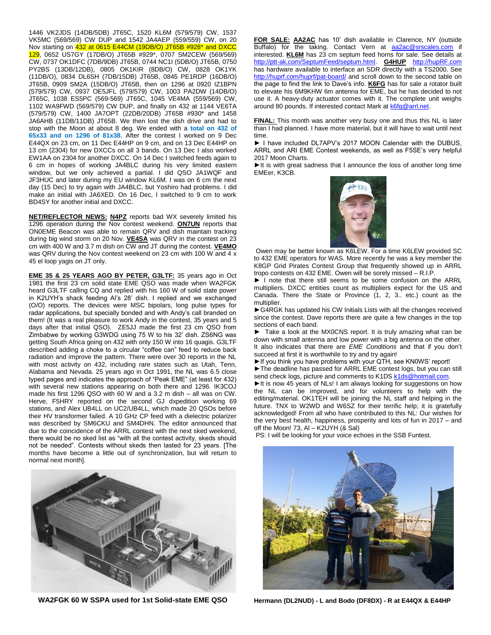1446 VK2JDS (14DB/5DB) JT65C, 1520 KL6M (579/579) CW, 1537 VK5MC (569/569) CW DUP and 1542 JA4AEP (559/559) CW, on 20 Nov starting on 432 at 0615 E44CM (19DB/O) JT65B #928\* and DXCC 129, 0652 US7GY (17DB/O) JT65B #929\*, 0707 SM2CEW (569/569) CW, 0737 OK1DFC (7DB/9DB) JT65B, 0744 NC1I (5DB/O) JT65B, 0750 PY2BS (13DB/12DB), 0805 OK1KIR (8DB/O) CW, 0828 OK1YK (11DB/O), 0834 DL6SH (7DB/15DB) JT65B, 0845 PE1RDP (16DB/O) JT65B, 0909 SM2A (15DB/O) JT65B, then on 1296 at 0920 IZ1BPN (579/579) CW, 0937 OE5JFL (579/579) CW, 1003 PA2DW (14DB/O) JT65C, 1038 ES5PC (569-569) JT65C, 1045 VE4MA (559/569) CW, 1102 WA9FWD (569/579) CW DUP, and finally on 432 at 1144 VE6TA (579/579) CW, 1400 JA7OPT (22DB/20DB) JT65B #930\* and 1458 JA6AHB (11DB/11DB) JT65B. We then lost the dish drive and had to stop with the Moon at about 8 deg. We ended with a **total on 432 of 65x33 and on 1296 of 81x38.** After the contest I worked on 9 Dec E44QX on 23 cm, on 11 Dec E44HP on 9 cm, and on 13 Dec E44HP on 13 cm (2304) for new DXCCs on all 3 bands. On 13 Dec I also worked EW1AA on 2304 for another DXCC. On 14 Dec I switched feeds again to 6 cm in hopes of working JA4BLC during his very limited eastern window, but we only achieved a partial. I did QSO JA1WQF and JF3HUC and later during my EU window KL6M. I was on 6 cm the next day (15 Dec) to try again with JA4BLC, but Yoshiro had problems. I did make an initial with JA6XED. On 16 Dec, I switched to 9 cm to work BD4SY for another initial and DXCC.

**NET/REFLECTOR NEWS: N4PZ** reports bad WX severely limited his 1296 operation during the Nov contest weekend. **ON7UN** reports that ON0EME Beacon was able to remain QRV and dish maintain tracking during big wind storm on 20 Nov. **VE4SA** was QRV in the contest on 23 cm with 400 W and 3.7 m dish on CW and JT during the contest. **VE4MO** was QRV during the Nov contest weekend on 23 cm with 100 W and 4 x 45 el loop yagis on JT only.

**EME 35 & 25 YEARS AGO BY PETER, G3LTF:** 35 years ago in Oct 1981 the first 23 cm solid state EME QSO was made when WA2FGK heard G3LTF calling CQ and replied with his 160 W of solid state power in K2UYH's shack feeding Al's 28' dish. I replied and we exchanged (O/O) reports. The devices were MSC bipolars, long pulse types for radar applications, but specially bonded and with Andy's call branded on them! (It was a real pleasure to work Andy in the contest, 35 years and 5 days after that initial QSO). ZE5JJ made the first 23 cm QSO from Zimbabwe by working G3WDG using 75 W to his 32' dish. ZS6NG was getting South Africa going on 432 with only 150 W into 16 quagis. G3LTF described adding a choke to a circular "coffee can" feed to reduce back radiation and improve the pattern. There were over 30 reports in the NL with most activity on 432, including rare states such as Utah, Tenn, Alabama and Nevada. 25 years ago in Oct 1991, the NL was 6.5 close typed pages and indicates the approach of "Peak EME" (at least for 432) with several new stations appearing on both there and 1296. IK3COJ made his first 1296 QSO with 60 W and a 3.2 m dish – all was on CW. Herve, F5HRY reported on the second GJ dxpedition working 69 stations, and Alex UB4LL on UC2/UB4LL, which made 20 QSOs before their HV transformer failed. A 10 GHz CP feed with a dielectric polarizer was described by SM6CKU and SM4DHN. The editor announced that due to the coincidence of the ARRL contest with the next sked weekend, there would be no sked list as "with all the contest activity, skeds should not be needed". Contests without skeds then lasted for 23 years. [The months have become a little out of synchronization, but will return to normal next month].



**WA2FGK 60 W SSPA used for 1st Solid-state EME QSO**

**FOR SALE: AA2AC** has 10' dish available in Clarence, NY (outside Buffalo) for the taking. Contact Vern at [aa2ac@srscales.com](mailto:aa2ac@srscales.com) if interested. **KL6M** has 23 cm septum feed horns for sale. See details at [http://ptt-ak.com/SeptumFeed/septum.html.](http://ptt-ak.com/SeptumFeed/septum.html) **G4HUP** [http://hupRF.com](http://huprf.com/) has hardware available to interface an SDR directly with a TS2000. See <http://huprf.com/huprf/pat-board/> and scroll down to the second table on the page to find the link to Dave's info. **K6FG** has for sale a rotator built to elevate his 6M9KHW 6m antenna for EME, but he has decided to not use it. A heavy-duty actuator comes with it. The complete unit weighs around 80 pounds. If interested contact Mark a[t k6fg@arrl.net.](mailto:k6fg@arrl.net)

**FINAL:** This month was another very busy one and thus this NL is later than I had planned. I have more material, but it will have to wait until next time.

► I have included DL7APV's 2017 MOON Calendar with the DUBUS, ARRL and ARI EME Contest weekends, as well as F5SE's very helpful 2017 Moon Charts.

►It is with great sadness that I announce the loss of another long time EMEer, K3CB.



Owen may be better known as K6LEW. For a time K6LEW provided SC to 432 EME operators for WAS. More recently he was a key member the K8GP Grid Pirates Contest Group that frequently showed up in ARRL tropo contests on 432 EME. Owen will be sorely missed – R.I.P.

► I note that there still seems to be some confusion on the ARRL multipliers. DXCC entities count as multipliers expect for the US and Canada. There the State or Province (1, 2, 3.. etc.) count as the multiplier.

▶G4RGK has updated his CW Initials Lists with all the changes received since the contest. Dave reports there are quite a few changes in the top sections of each band.

Take a look at the MX0CNS report. It is truly amazing what can be down with small antenna and low power with a big antenna on the other. It also indicates that there are *EME Conditions* and that if you don't succeed at first it is worthwhile to try and try again!

► If you think you have problems with your QTH, see KN0WS' report!

►The deadline has passed for ARRL EME contest logs, but you can still send check logs, picture and comments to K1DS [k1ds@hotmail.com.](mailto:k1ds@hotmail.com)

► It is now 45 years of NLs! I am always looking for suggestions on how the NL can be improved, and for volunteers to help with the editing/material. OK1TEH will be joining the NL staff and helping in the future. TNX to W2WD and W6SZ for their terrific help; it is gratefully acknowledged! From all who have contributed to this NL: Our wishes for the very best health, happiness, prosperity and lots of fun in 2017 – and off the Moon! 73, Al – K2UYH (& Sal)

PS: I will be looking for your voice echoes in the SSB Funtest.



**Hermann (DL2NUD) - L and Bodo (DF8DX) - R at E44QX & E44HP**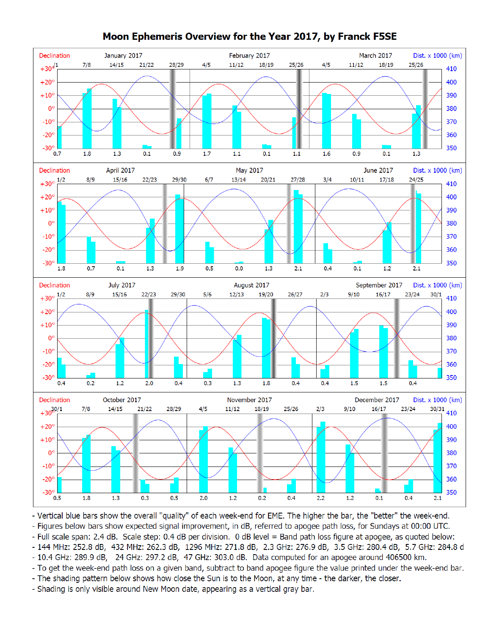

## Moon Ephemeris Overview for the Year 2017, by Franck F5SE

- Vertical blue bars show the overall "quality" of each week-end for EME. The higher the bar, the "better" the week-end.

- Figures below bars show expected signal improvement, in dB, referred to apogee path loss, for Sundays at 00:00 UTC.

- Full scale span: 2.4 dB. Scale step: 0.4 dB per division. 0 dB level = Band path loss figure at apogee, as quoted below:

- 144 MHz: 252.8 dB, 432 MHz: 262.3 dB, 1296 MHz: 271.8 dB, 2.3 GHz: 276.9 dB, 3.5 GHz: 280.4 dB, 5.7 GHz: 284.8 d

- 10.4 GHz: 289.9 dB, 24 GHz: 297.2 dB, 47 GHz: 303.0 dB. Data computed for an apogee around 406500 km.

- To get the week-end path loss on a given band, subtract to band apogee figure the value printed under the week-end bar.

- The shading pattern below shows how close the Sun is to the Moon, at any time - the darker, the closer.

- Shading is only visible around New Moon date, appearing as a vertical gray bar.